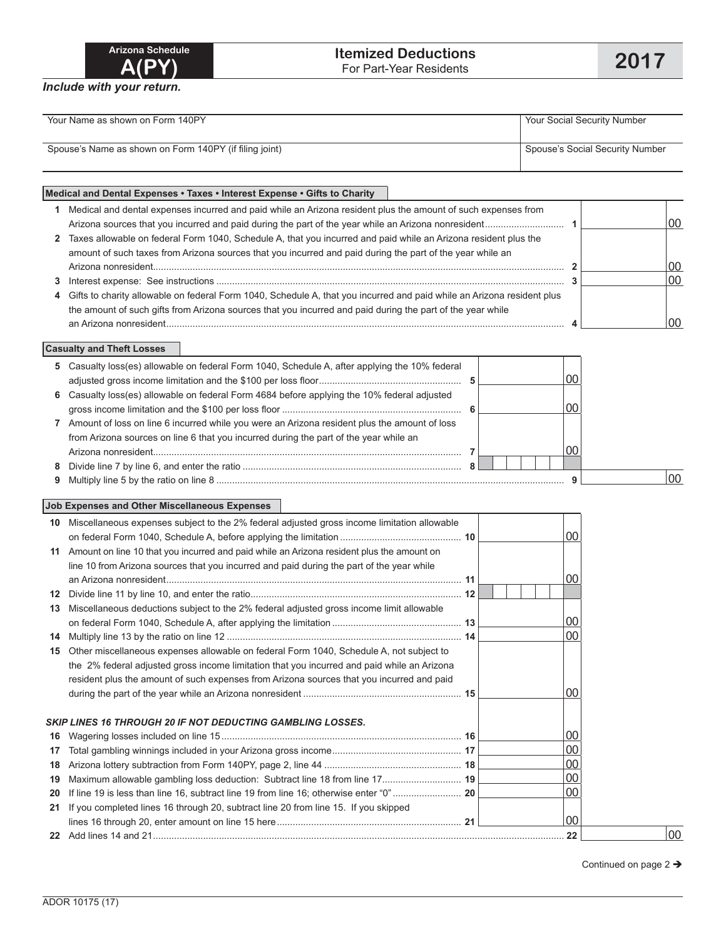| Arizona Schedule |
|------------------|
| A(PY)            |

| Your Name as shown on Form 140PY                       | Your Social Security Number     |  |  |  |
|--------------------------------------------------------|---------------------------------|--|--|--|
|                                                        |                                 |  |  |  |
| Spouse's Name as shown on Form 140PY (if filing joint) | Spouse's Social Security Number |  |  |  |
|                                                        |                                 |  |  |  |

## **Medical and Dental Expenses • Taxes • Interest Expense • Gifts to Charity 1** Medical and dental expenses incurred and paid while an Arizona resident plus the amount of such expenses from Arizona sources that you incurred and paid during the part of the year while an Arizona nonresident.............................. **1** 00 **2** Taxes allowable on federal Form 1040, Schedule A, that you incurred and paid while an Arizona resident plus the amount of such taxes from Arizona sources that you incurred and paid during the part of the year while an Arizona nonresident............................................................................................................................................................ **2** 00 **3** Interest expense: See instructions .................................................................................................................................... **3** 00 **4** Gifts to charity allowable on federal Form 1040, Schedule A, that you incurred and paid while an Arizona resident plus the amount of such gifts from Arizona sources that you incurred and paid during the part of the year while an Arizona nonresident....................................................................................................................................................... **4** 00

## **Casualty and Theft Losses**

| 5 Casualty loss(es) allowable on federal Form 1040, Schedule A, after applying the 10% federal |  |    |
|------------------------------------------------------------------------------------------------|--|----|
|                                                                                                |  |    |
| 6 Casualty loss(es) allowable on federal Form 4684 before applying the 10% federal adjusted    |  |    |
|                                                                                                |  |    |
| Amount of loss on line 6 incurred while you were an Arizona resident plus the amount of loss   |  |    |
| from Arizona sources on line 6 that you incurred during the part of the year while an          |  |    |
|                                                                                                |  |    |
|                                                                                                |  |    |
|                                                                                                |  | 00 |

## **Job Expenses and Other Miscellaneous Expenses**

| 10               | Miscellaneous expenses subject to the 2% federal adjusted gross income limitation allowable |  |                 |    |
|------------------|---------------------------------------------------------------------------------------------|--|-----------------|----|
|                  |                                                                                             |  | 00              |    |
| 11               | Amount on line 10 that you incurred and paid while an Arizona resident plus the amount on   |  |                 |    |
|                  | line 10 from Arizona sources that you incurred and paid during the part of the year while   |  |                 |    |
|                  |                                                                                             |  | 00              |    |
| 12 <sup>12</sup> |                                                                                             |  |                 |    |
| 13               | Miscellaneous deductions subject to the 2% federal adjusted gross income limit allowable    |  |                 |    |
|                  |                                                                                             |  | 00 <sup>1</sup> |    |
| 14               |                                                                                             |  | 00 <sup>1</sup> |    |
| 15               | Other miscellaneous expenses allowable on federal Form 1040, Schedule A, not subject to     |  |                 |    |
|                  | the 2% federal adjusted gross income limitation that you incurred and paid while an Arizona |  |                 |    |
|                  | resident plus the amount of such expenses from Arizona sources that you incurred and paid   |  |                 |    |
|                  |                                                                                             |  | ΩO              |    |
|                  | <b>SKIP LINES 16 THROUGH 20 IF NOT DEDUCTING GAMBLING LOSSES.</b>                           |  |                 |    |
|                  |                                                                                             |  | 00              |    |
| 16               |                                                                                             |  |                 |    |
| 17               |                                                                                             |  | $00\,$          |    |
| 18               |                                                                                             |  | $00\,$          |    |
| 19               | Maximum allowable gambling loss deduction: Subtract line 18 from line 17 19                 |  | $00\,$          |    |
| 20               |                                                                                             |  | $00\,$          |    |
| 21               | If you completed lines 16 through 20, subtract line 20 from line 15. If you skipped         |  |                 |    |
|                  |                                                                                             |  | 00 <sup>°</sup> |    |
|                  |                                                                                             |  |                 | 00 |

Continued on page 2  $\rightarrow$